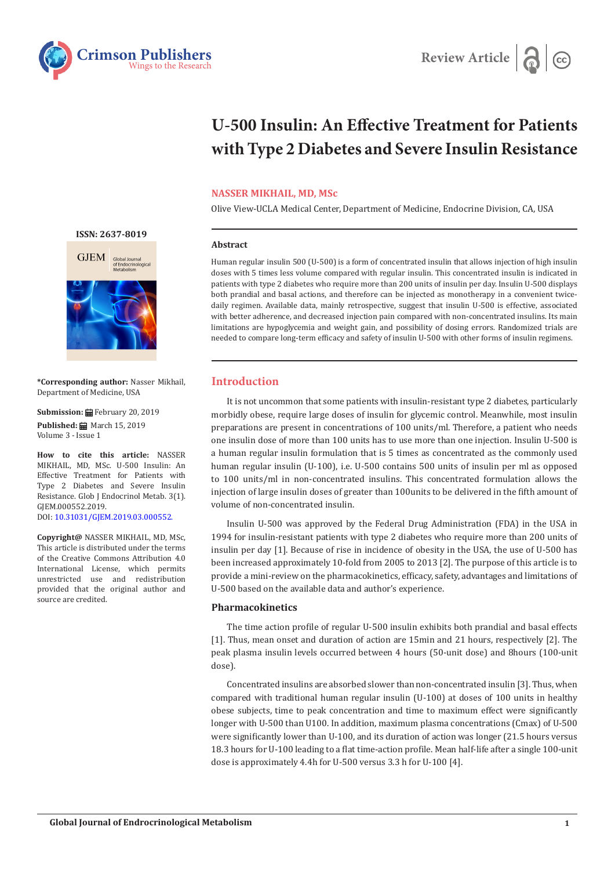



# **U-500 Insulin: An Effective Treatment for Patients with Type 2 Diabetes and Severe Insulin Resistance**

# **NASSER MIKHAIL, MD, MSc**

Olive View-UCLA Medical Center, Department of Medicine, Endocrine Division, CA, USA

## **Abstract**

Human regular insulin 500 (U-500) is a form of concentrated insulin that allows injection of high insulin doses with 5 times less volume compared with regular insulin. This concentrated insulin is indicated in patients with type 2 diabetes who require more than 200 units of insulin per day. Insulin U-500 displays both prandial and basal actions, and therefore can be injected as monotherapy in a convenient twicedaily regimen. Available data, mainly retrospective, suggest that insulin U-500 is effective, associated with better adherence, and decreased injection pain compared with non-concentrated insulins. Its main limitations are hypoglycemia and weight gain, and possibility of dosing errors. Randomized trials are needed to compare long-term efficacy and safety of insulin U-500 with other forms of insulin regimens.

# **Introduction**

It is not uncommon that some patients with insulin-resistant type 2 diabetes, particularly morbidly obese, require large doses of insulin for glycemic control. Meanwhile, most insulin preparations are present in concentrations of 100 units/ml. Therefore, a patient who needs one insulin dose of more than 100 units has to use more than one injection. Insulin U-500 is a human regular insulin formulation that is 5 times as concentrated as the commonly used human regular insulin (U-100), i.e. U-500 contains 500 units of insulin per ml as opposed to 100 units/ml in non-concentrated insulins. This concentrated formulation allows the injection of large insulin doses of greater than 100units to be delivered in the fifth amount of volume of non-concentrated insulin.

Insulin U-500 was approved by the Federal Drug Administration (FDA) in the USA in 1994 for insulin-resistant patients with type 2 diabetes who require more than 200 units of insulin per day [1]. Because of rise in incidence of obesity in the USA, the use of U-500 has been increased approximately 10-fold from 2005 to 2013 [2]. The purpose of this article is to provide a mini-review on the pharmacokinetics, efficacy, safety, advantages and limitations of U-500 based on the available data and author's experience.

## **Pharmacokinetics**

The time action profile of regular U-500 insulin exhibits both prandial and basal effects [1]. Thus, mean onset and duration of action are 15min and 21 hours, respectively [2]. The peak plasma insulin levels occurred between 4 hours (50-unit dose) and 8hours (100-unit dose).

Concentrated insulins are absorbed slower than non-concentrated insulin [3]. Thus, when compared with traditional human regular insulin (U-100) at doses of 100 units in healthy obese subjects, time to peak concentration and time to maximum effect were significantly longer with U-500 than U100. In addition, maximum plasma concentrations (Cmax) of U-500 were significantly lower than U-100, and its duration of action was longer (21.5 hours versus 18.3 hours for U-100 leading to a flat time-action profile. Mean half-life after a single 100-unit dose is approximately 4.4h for U-500 versus 3.3 h for U-100 [4].



**[ISSN: 2637-8019](https://crimsonpublishers.com/gjem/)**



**\*Corresponding author:** Nasser Mikhail, Department of Medicine, USA

#### **Submission:** February 20, 2019

Published: **■** March 15, 2019 Volume 3 - Issue 1

**How to cite this article:** NASSER MIKHAIL, MD, MSc. U-500 Insulin: An Effective Treatment for Patients with Type 2 Diabetes and Severe Insulin Resistance. Glob J Endocrinol Metab. 3(1). GJEM.000552.2019. DOI: [10.31031/GJEM.2019.03.0005](http://dx.doi.org/10.31031/GJEM.2019.03.000552)52.

**Copyright@** NASSER MIKHAIL, MD, MSc, This article is distributed under the terms of the Creative Commons Attribution 4.0 International License, which permits unrestricted use and redistribution provided that the original author and source are credited.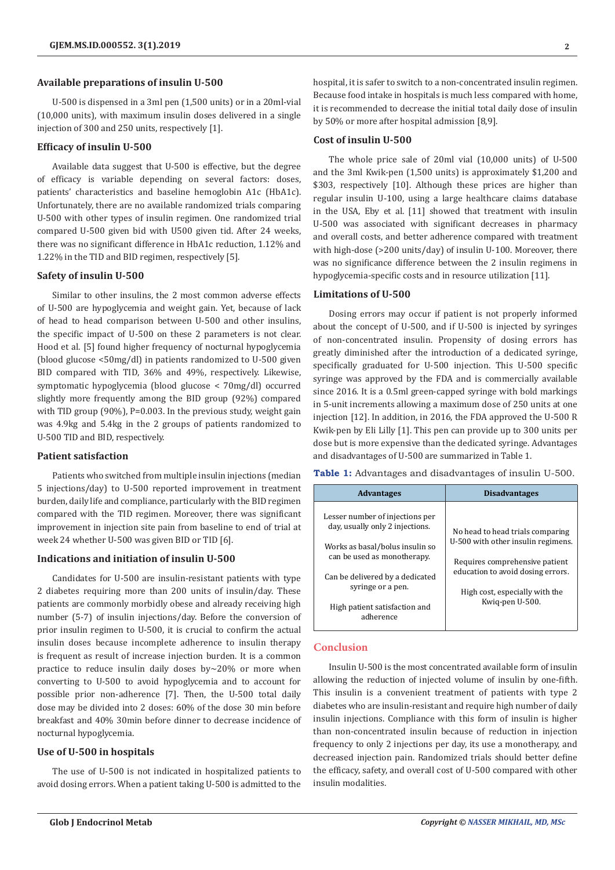#### **Available preparations of insulin U-500**

U-500 is dispensed in a 3ml pen (1,500 units) or in a 20ml-vial (10,000 units), with maximum insulin doses delivered in a single injection of 300 and 250 units, respectively [1].

## **Efficacy of insulin U-500**

Available data suggest that U-500 is effective, but the degree of efficacy is variable depending on several factors: doses, patients' characteristics and baseline hemoglobin A1c (HbA1c). Unfortunately, there are no available randomized trials comparing U-500 with other types of insulin regimen. One randomized trial compared U-500 given bid with U500 given tid. After 24 weeks, there was no significant difference in HbA1c reduction, 1.12% and 1.22% in the TID and BID regimen, respectively [5].

#### **Safety of insulin U-500**

Similar to other insulins, the 2 most common adverse effects of U-500 are hypoglycemia and weight gain. Yet, because of lack of head to head comparison between U-500 and other insulins, the specific impact of U-500 on these 2 parameters is not clear. Hood et al. [5] found higher frequency of nocturnal hypoglycemia (blood glucose <50mg/dl) in patients randomized to U-500 given BID compared with TID, 36% and 49%, respectively. Likewise, symptomatic hypoglycemia (blood glucose < 70mg/dl) occurred slightly more frequently among the BID group (92%) compared with TID group (90%), P=0.003. In the previous study, weight gain was 4.9kg and 5.4kg in the 2 groups of patients randomized to U-500 TID and BID, respectively.

#### **Patient satisfaction**

Patients who switched from multiple insulin injections (median 5 injections/day) to U-500 reported improvement in treatment burden, daily life and compliance, particularly with the BID regimen compared with the TID regimen. Moreover, there was significant improvement in injection site pain from baseline to end of trial at week 24 whether U-500 was given BID or TID [6].

#### **Indications and initiation of insulin U-500**

Candidates for U-500 are insulin-resistant patients with type 2 diabetes requiring more than 200 units of insulin/day. These patients are commonly morbidly obese and already receiving high number (5-7) of insulin injections/day. Before the conversion of prior insulin regimen to U-500, it is crucial to confirm the actual insulin doses because incomplete adherence to insulin therapy is frequent as result of increase injection burden. It is a common practice to reduce insulin daily doses by~20% or more when converting to U-500 to avoid hypoglycemia and to account for possible prior non-adherence [7]. Then, the U-500 total daily dose may be divided into 2 doses: 60% of the dose 30 min before breakfast and 40% 30min before dinner to decrease incidence of nocturnal hypoglycemia.

# **Use of U-500 in hospitals**

The use of U-500 is not indicated in hospitalized patients to avoid dosing errors. When a patient taking U-500 is admitted to the

#### **Cost of insulin U-500**

The whole price sale of 20ml vial (10,000 units) of U-500 and the 3ml Kwik-pen (1,500 units) is approximately \$1,200 and \$303, respectively [10]. Although these prices are higher than regular insulin U-100, using a large healthcare claims database in the USA, Eby et al. [11] showed that treatment with insulin U-500 was associated with significant decreases in pharmacy and overall costs, and better adherence compared with treatment with high-dose (>200 units/day) of insulin U-100. Moreover, there was no significance difference between the 2 insulin regimens in hypoglycemia-specific costs and in resource utilization [11].

#### **Limitations of U-500**

Dosing errors may occur if patient is not properly informed about the concept of U-500, and if U-500 is injected by syringes of non-concentrated insulin. Propensity of dosing errors has greatly diminished after the introduction of a dedicated syringe, specifically graduated for U-500 injection. This U-500 specific syringe was approved by the FDA and is commercially available since 2016. It is a 0.5ml green-capped syringe with bold markings in 5-unit increments allowing a maximum dose of 250 units at one injection [12]. In addition, in 2016, the FDA approved the U-500 R Kwik-pen by Eli Lilly [1]. This pen can provide up to 300 units per dose but is more expensive than the dedicated syringe. Advantages and disadvantages of U-500 are summarized in Table 1.

**Table 1:** Advantages and disadvantages of insulin U-500.

| <b>Advantages</b>                                                                                                                    | <b>Disadvantages</b>                                                                                                                                                                               |
|--------------------------------------------------------------------------------------------------------------------------------------|----------------------------------------------------------------------------------------------------------------------------------------------------------------------------------------------------|
| Lesser number of injections per<br>day, usually only 2 injections.<br>Works as basal/bolus insulin so<br>can be used as monotherapy. | No head to head trials comparing<br>U-500 with other insulin regimens.<br>Requires comprehensive patient<br>education to avoid dosing errors.<br>High cost, especially with the<br>Kwig-pen U-500. |
| Can be delivered by a dedicated<br>syringe or a pen.<br>High patient satisfaction and<br>adherence                                   |                                                                                                                                                                                                    |

# **Conclusion**

Insulin U-500 is the most concentrated available form of insulin allowing the reduction of injected volume of insulin by one-fifth. This insulin is a convenient treatment of patients with type 2 diabetes who are insulin-resistant and require high number of daily insulin injections. Compliance with this form of insulin is higher than non-concentrated insulin because of reduction in injection frequency to only 2 injections per day, its use a monotherapy, and decreased injection pain. Randomized trials should better define the efficacy, safety, and overall cost of U-500 compared with other insulin modalities.